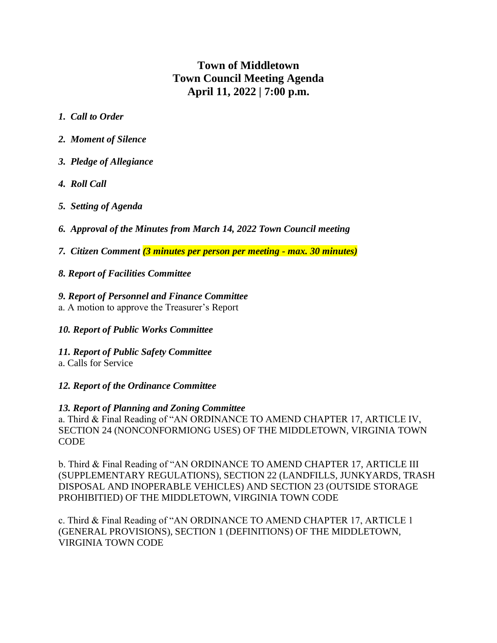# **Town of Middletown Town Council Meeting Agenda April 11, 2022 | 7:00 p.m.**

- *1. Call to Order*
- *2. Moment of Silence*
- *3. Pledge of Allegiance*
- *4. Roll Call*
- *5. Setting of Agenda*
- *6. Approval of the Minutes from March 14, 2022 Town Council meeting*
- *7. Citizen Comment (3 minutes per person per meeting - max. 30 minutes)*
- *8. Report of Facilities Committee*

### *9. Report of Personnel and Finance Committee*

- a. A motion to approve the Treasurer's Report
- *10. Report of Public Works Committee*
- *11. Report of Public Safety Committee*
- a. Calls for Service

## *12. Report of the Ordinance Committee*

#### *13. Report of Planning and Zoning Committee*

a. Third & Final Reading of "AN ORDINANCE TO AMEND CHAPTER 17, ARTICLE IV, SECTION 24 (NONCONFORMIONG USES) OF THE MIDDLETOWN, VIRGINIA TOWN **CODE** 

b. Third & Final Reading of "AN ORDINANCE TO AMEND CHAPTER 17, ARTICLE III (SUPPLEMENTARY REGULATIONS), SECTION 22 (LANDFILLS, JUNKYARDS, TRASH DISPOSAL AND INOPERABLE VEHICLES) AND SECTION 23 (OUTSIDE STORAGE PROHIBITIED) OF THE MIDDLETOWN, VIRGINIA TOWN CODE

c. Third & Final Reading of "AN ORDINANCE TO AMEND CHAPTER 17, ARTICLE 1 (GENERAL PROVISIONS), SECTION 1 (DEFINITIONS) OF THE MIDDLETOWN, VIRGINIA TOWN CODE